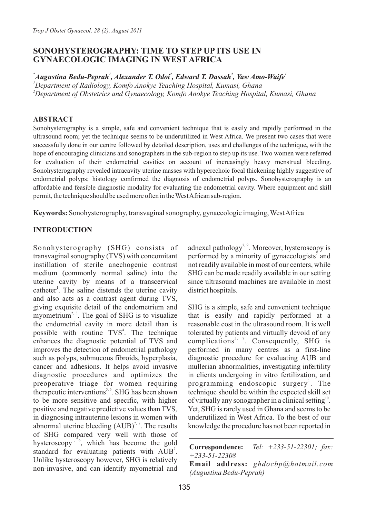# **SONOHYSTEROGRAPHY: TIME TO STEP UP ITS USE IN GYNAECOLOGIC IMAGING IN WEST AFRICA**

*\* <sup>1</sup> <sup>2</sup> <sup>2</sup> <sup>1</sup> Augustina Bedu-Peprah , Alexander T. Odoi , Edward T. Dassah , Yaw Amo-Waife <sup>1</sup>Department of Radiology, Komfo Anokye Teaching Hospital, Kumasi, Ghana*

*<sup>2</sup>Department of Obstetrics and Gynaecology, Komfo Anokye Teaching Hospital, Kumasi, Ghana* 

# **ABSTRACT**

Sonohysterography is a simple, safe and convenient technique that is easily and rapidly performed in the ultrasound room; yet the technique seems to be underutilized in West Africa. We present two cases that were successfully done in our centre followed by detailed description, uses and challenges of the technique**,** with the hope of encouraging clinicians and sonographers in the sub-region to step up its use. Two women were referred for evaluation of their endometrial cavities on account of increasingly heavy menstrual bleeding. Sonohysterography revealed intracavity uterine masses with hyperechoic focal thickening highly suggestive of endometrial polyps; histology confirmed the diagnosis of endometrial polyps. Sonohysterography is an affordable and feasible diagnostic modality for evaluating the endometrial cavity. Where equipment and skill permit, the technique should be used more often in the West African sub-region.

**Keywords:** Sonohysterography, transvaginal sonography, gynaecologic imaging, West Africa

# **INTRODUCTION**

Sonohysterography (SHG) consists of transvaginal sonography (TVS) with concomitant instillation of sterile anechogenic contrast medium (commonly normal saline) into the uterine cavity by means of a transcervical catheter<sup>1</sup>. The saline distends the uterine cavity and also acts as a contrast agent during TVS, giving exquisite detail of the endometrium and myometrium<sup>2, 3</sup>. The goal of SHG is to visualize the endometrial cavity in more detail than is possible with routine TVS<sup>4</sup>. The technique enhances the diagnostic potential of TVS and improves the detection of endometrial pathology such as polyps, submucous fibroids, hyperplasia, cancer and adhesions. It helps avoid invasive diagnostic procedures and optimizes the preoperative triage for women requiring therapeutic interventions<sup>5,  $6$ </sup>. SHG has been shown to be more sensitive and specific, with higher positive and negative predictive values than TVS, in diagnosing intrauterine lesions in women with abnormal uterine bleeding  $(AUB)^{7, 8}$ . The results of SHG compared very well with those of hysteroscopy<sup>1,  $\delta$ </sup>, which has become the gold standard for evaluating patients with AUB<sup>7</sup>. Unlike hysteroscopy however, SHG is relatively non-invasive, and can identify myometrial and

adnexal pathology<sup>7, 9</sup>. Moreover, hysteroscopy is performed by a minority of gynaecologists<sup>7</sup> and not readily available in most of our centers, while SHG can be made readily available in our setting since ultrasound machines are available in most district hospitals.

SHG is a simple, safe and convenient technique that is easily and rapidly performed at a reasonable cost in the ultrasound room. It is well tolerated by patients and virtually devoid of any complications<sup>5, 9</sup>. Consequently, SHG is performed in many centres as a first-line diagnostic procedure for evaluating AUB and mullerian abnormalities, investigating infertility in clients undergoing in vitro fertilization, and programming endoscopic surgery<sup>1</sup>. The technique should be within the expected skill set of virtually any sonographer in a clinical setting  $10^{\circ}$ . Yet, SHG is rarely used in Ghana and seems to be underutilized in West Africa. To the best of our knowledge the procedure has not been reported in

**Correspondence:** *Tel: +233-51-22301; fax: +233-51-22308*

**Email address:** *ghdocbp@hotmail.com (Augustina Bedu-Peprah)*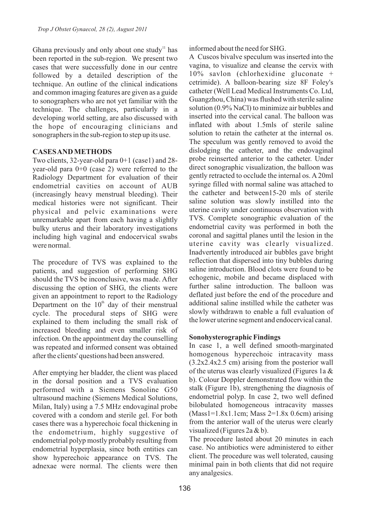Ghana previously and only about one study<sup> $11$ </sup> has been reported in the sub-region. We present two cases that were successfully done in our centre followed by a detailed description of the technique. An outline of the clinical indications and common imaging features are given as a guide to sonographers who are not yet familiar with the technique. The challenges, particularly in a developing world setting, are also discussed with the hope of encouraging clinicians and sonographers in the sub-region to step up its use.

## **CASES AND METHODS**

Two clients,  $32$ -year-old para  $0+1$  (case1) and  $28$ year-old para 0+0 (case 2) were referred to the Radiology Department for evaluation of their endometrial cavities on account of AUB (increasingly heavy menstrual bleeding). Their medical histories were not significant. Their physical and pelvic examinations were unremarkable apart from each having a slightly bulky uterus and their laboratory investigations including high vaginal and endocervical swabs were normal.

The procedure of TVS was explained to the patients, and suggestion of performing SHG should the TVS be inconclusive, was made. After discussing the option of SHG, the clients were given an appointment to report to the Radiology Department on the  $10<sup>th</sup>$  day of their menstrual cycle. The procedural steps of SHG were explained to them including the small risk of increased bleeding and even smaller risk of infection. On the appointment day the counselling was repeated and informed consent was obtained after the clients' questions had been answered.

After emptying her bladder, the client was placed in the dorsal position and a TVS evaluation performed with a Siemens Sonoline G50 ultrasound machine (Siemens Medical Solutions, Milan, Italy) using a 7.5 MHz endovaginal probe covered with a condom and sterile gel. For both cases there was a hyperechoic focal thickening in the endometrium, highly suggestive of endometrial polyp mostly probably resulting from endometrial hyperplasia, since both entities can show hyperechoic appearance on TVS. The adnexae were normal. The clients were then

informed about the need for SHG.

A Cuscos bivalve speculum was inserted into the vagina, to visualize and cleanse the cervix with 10% savlon (chlorhexidine gluconate + cetrimide). A balloon-bearing size 8F Foley's catheter (Well Lead Medical Instruments Co. Ltd, Guangzhou, China) was flushed with sterile saline solution (0.9% NaCl) to minimize air bubbles and inserted into the cervical canal. The balloon was inflated with about 1.5mls of sterile saline solution to retain the catheter at the internal os. The speculum was gently removed to avoid the dislodging the catheter, and the endovaginal probe reinserted anterior to the catheter. Under direct sonographic visualization, the balloon was gently retracted to occlude the internal os. A20ml syringe filled with normal saline was attached to the catheter and between15-20 mls of sterile saline solution was slowly instilled into the uterine cavity under continuous observation with TVS. Complete sonographic evaluation of the endometrial cavity was performed in both the coronal and sagittal planes until the lesion in the uterine cavity was clearly visualized. Inadvertently introduced air bubbles gave bright reflection that dispersed into tiny bubbles during saline introduction. Blood clots were found to be echogenic, mobile and became displaced with further saline introduction. The balloon was deflated just before the end of the procedure and additional saline instilled while the catheter was slowly withdrawn to enable a full evaluation of the lower uterine segment and endocervical canal.

#### **Sonohysterographic Findings**

In case 1, a well defined smooth-marginated homogenous hyperechoic intracavity mass (3.2x2.4x2.5 cm) arising from the posterior wall of the uterus was clearly visualized (Figures 1a & b). Colour Doppler demonstrated flow within the stalk (Figure 1b), strengthening the diagnosis of endometrial polyp. In case 2, two well defined bilobulated homogeneous intracavity masses (Mass1=1.8x1.1cm; Mass 2=1.8x 0.6cm) arising from the anterior wall of the uterus were clearly visualized (Figures 2a & b).

The procedure lasted about 20 minutes in each case. No antibiotics were administered to either client. The procedure was well tolerated, causing minimal pain in both clients that did not require any analgesics.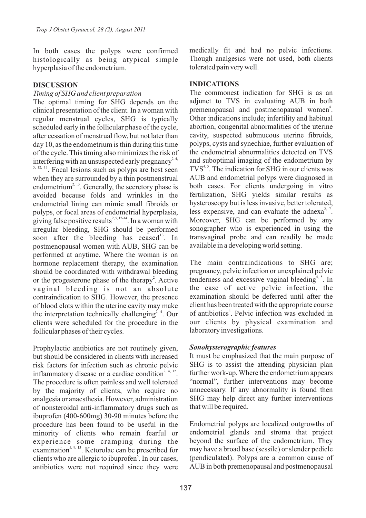In both cases the polyps were confirmed histologically as being atypical simple hyperplasia of the endometrium .

### **DISCUSSION**

#### *Timing of SHG and client preparation*

The optimal timing for SHG depends on the clinical presentation of the client. In a woman with regular menstrual cycles, SHG is typically scheduled early in the follicular phase of the cycle, after cessation of menstrual flow, but not later than day 10, as the endometrium is thin during this time of the cycle. This timing also minimizes the risk of interfering with an unsuspected early pregnancy<sup>2, 4,</sup>

 $5, 12, 13$ . Focal lesions such as polyps are best seen when they are surrounded by a thin postmenstrual endometrium<sup>2, 13</sup>. Generally, the secretory phase is avoided because folds and wrinkles in the endometrial lining can mimic small fibroids or polyps, or focal areas of endometrial hyperplasia, giving false positive results<sup>2, 5, 12-14</sup>. In a woman with irregular bleeding, SHG should be performed soon after the bleeding has ceased<sup>13</sup>. In postmenopausal women with AUB, SHG can be performed at anytime. Where the woman is on hormone replacement therapy, the examination should be coordinated with withdrawal bleeding or the progesterone phase of the therapy<sup>2</sup>. Active vaginal bleeding is not an absolute contraindication to SHG. However, the presence of blood clots within the uterine cavity may make the interpretation technically challenging<sup>2, 4</sup>. Our clients were scheduled for the procedure in the follicular phases of their cycles.

Prophylactic antibiotics are not routinely given, but should be considered in clients with increased risk factors for infection such as chronic pelvic inflammatory disease or a cardiac condition<sup>2, 4, 12</sup>. The procedure is often painless and well tolerated by the majority of clients, who require no analgesia or anaesthesia. However, administration of nonsteroidal anti-inflammatory drugs such as ibuprofen (400-600mg) 30-90 minutes before the procedure has been found to be useful in the minority of clients who remain fearful or experience some cramping during the examination<sup>5, 9, 13</sup>. Ketorolac can be prescribed for clients who are allergic to ibuprofen<sup>5</sup>. In our cases, antibiotics were not required since they were

medically fit and had no pelvic infections. Though analgesics were not used, both clients tolerated pain very well.

# **INDICATIONS**

The commonest indication for SHG is as an adjunct to TVS in evaluating AUB in both premenopausal and postmenopausal women<sup>4</sup>. Other indications include; infertility and habitual abortion, congenital abnormalities of the uterine cavity, suspected submucous uterine fibroids, polyps, cysts and synechiae, further evaluation of the endometrial abnormalities detected on TVS and suboptimal imaging of the endometrium by  $TVS<sup>4,5</sup>$ . The indication for SHG in our clients was AUB and endometrial polyps were diagnosed in both cases. For clients undergoing in vitro fertilization, SHG yields similar results as hysteroscopy but is less invasive, better tolerated, less expensive, and can evaluate the adnexa<sup>2, 7</sup>. Moreover, SHG can be performed by any sonographer who is experienced in using the transvaginal probe and can readily be made available in a developing world setting.

The main contraindications to SHG are; pregnancy, pelvic infection or unexplained pelvic tenderness and excessive vaginal bleeding<sup>4, 5</sup>. In the case of active pelvic infection, the examination should be deferred until after the client has been treated with the appropriate course of antibiotics<sup>4</sup>. Pelvic infection was excluded in our clients by physical examination and laboratory investigations.

## *Sonohysterographic features*

It must be emphasized that the main purpose of SHG is to assist the attending physician plan further work-up. Where the endometrium appears "normal", further interventions may become unnecessary. If any abnormality is found then SHG may help direct any further interventions that will be required.

Endometrial polyps are localized outgrowths of endometrial glands and stroma that project beyond the surface of the endometrium. They may have a broad base (sessile) or slender pedicle (pendiculated). Polyps are a common cause of AUB in both premenopausal and postmenopausal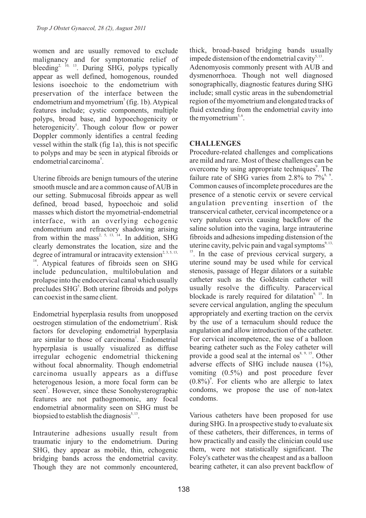women and are usually removed to exclude malignancy and for symptomatic relief of bleeding<sup>2, 10, 13</sup>. During SHG, polyps typically appear as well defined, homogenous, rounded lesions isoechoic to the endometrium with preservation of the interface between the endometrium and myometrium<sup>5</sup> (fig. 1b). Atypical features include; cystic components, multiple polyps, broad base, and hypoechogenicity or heterogenicity<sup>5</sup>. Though colour flow or power Doppler commonly identifies a central feeding vessel within the stalk (fig 1a), this is not specific to polyps and may be seen in atypical fibroids or endometrial carcinoma<sup>5</sup>.

Uterine fibroids are benign tumours of the uterine smooth muscle and are a common cause of AUB in our setting. Submucosal fibroids appear as well defined, broad based, hypoechoic and solid masses which distort the myometrial-endometrial interface, with an overlying echogenic endometrium and refractory shadowing arising from within the mass<sup>2, 5, 13, 14</sup>. In addition, SHG clearly demonstrates the location, size and the degree of intramural or intracavity extension<sup>2, 3, 5, 13,</sup> <sup>14</sup>. Atypical features of fibroids seen on SHG include pedunculation, multilobulation and prolapse into the endocervical canal which usually precludes SHG<sup>5</sup>. Both uterine fibroids and polyps can coexist in the same client.

Endometrial hyperplasia results from unopposed oestrogen stimulation of the endometrium<sup>2</sup>. Risk factors for developing endometrial hyperplasia are similar to those of carcinoma<sup>2</sup>. Endometrial hyperplasia is usually visualized as diffuse irregular echogenic endometrial thickening without focal abnormality. Though endometrial carcinoma usually appears as a diffuse heterogenous lesion, a more focal form can be seen<sup>5</sup>. However, since these Sonohysterographic features are not pathognomonic, any focal endometrial abnormality seen on SHG must be biopsied to establish the diagnosis<sup> $5, 13$ </sup>.

Intrauterine adhesions usually result from traumatic injury to the endometrium. During SHG, they appear as mobile, thin, echogenic bridging bands across the endometrial cavity. Though they are not commonly encountered, thick, broad-based bridging bands usually impede distension of the endometrial cavity $5,13$ . Adenomyosis commonly present with AUB and dysmenorrhoea. Though not well diagnosed sonographically, diagnostic features during SHG include; small cystic areas in the subendometrial region of the myometrium and elongated tracks of fluid extending from the endometrial cavity into the myometrium<sup> $5, 6$ </sup>.

# **CHALLENGES**

Procedure-related challenges and complications are mild and rare. Most of these challenges can be overcome by using appropriate techniques<sup>9</sup>. The failure rate of SHG varies from 2.8% to  $7\frac{8}{3}$ . Common causes of incomplete procedures are the presence of a stenotic cervix or severe cervical angulation preventing insertion of the transcervical catheter, cervical incompetence or a very patulous cervix causing backflow of the saline solution into the vagina, large intrauterine fibroids and adhesions impeding distension of the uterine cavity, pelvic pain and vagal symptoms<sup>9, 13,</sup> <sup>15</sup>. In the case of previous cervical surgery, a uterine sound may be used while for cervical stenosis, passage of Hegar dilators or a suitable catheter such as the Goldstein catheter will usually resolve the difficulty. Paracervical blockade is rarely required for dilatation<sup>9, 15</sup>. In severe cervical angulation, angling the speculum appropriately and exerting traction on the cervix by the use of a ternaculum should reduce the angulation and allow introduction of the catheter. For cervical incompetence, the use of a balloon bearing catheter such as the Foley catheter will provide a good seal at the internal os $^{8, 9, 15}$ . Other adverse effects of SHG include nausea (1%), vomiting (0.5%) and post procedure fever  $(0.8\%)$ <sup>9</sup>. For clients who are allergic to latex condoms, we propose the use of non-latex condoms.

Various catheters have been proposed for use during SHG. In a prospective study to evaluate six of these catheters, their differences, in terms of how practically and easily the clinician could use them, were not statistically significant. The Foley's catheter was the cheapest and as a balloon bearing catheter, it can also prevent backflow of